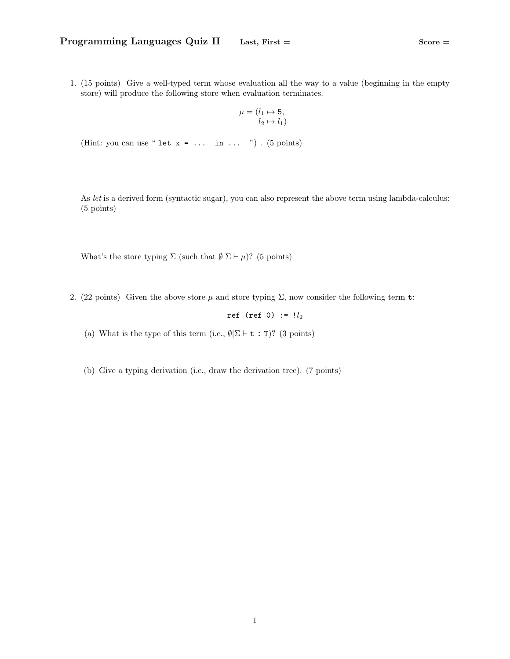1. (15 points) Give a well-typed term whose evaluation all the way to a value (beginning in the empty store) will produce the following store when evaluation terminates.

$$
\mu = (l_1 \mapsto 5, \quad l_2 \mapsto l_1)
$$

(Hint: you can use " let  $x = ...$  in  $...$  ") . (5 points)

As let is a derived form (syntactic sugar), you can also represent the above term using lambda-calculus: (5 points)

What's the store typing  $\Sigma$  (such that  $\emptyset = \mu$ )? (5 points)

2. (22 points) Given the above store  $\mu$  and store typing  $\Sigma$ , now consider the following term t:

ref (ref 0) :=  $!l_2$ 

- (a) What is the type of this term (i.e.,  $\emptyset | \Sigma \vdash t : T$ )? (3 points)
- (b) Give a typing derivation (i.e., draw the derivation tree). (7 points)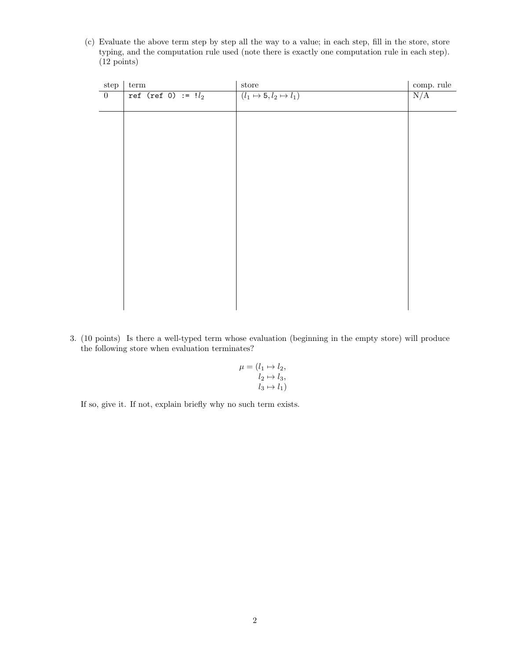(c) Evaluate the above term step by step all the way to a value; in each step, fill in the store, store typing, and the computation rule used (note there is exactly one computation rule in each step). (12 points)

| ${\rm step}$   | ${\rm term}$          | ${\tt store}$                      | comp. rule |
|----------------|-----------------------|------------------------------------|------------|
| $\overline{0}$ | ref (ref 0) := $!l_2$ | $(l_1 \mapsto 5, l_2 \mapsto l_1)$ | N/A        |
|                |                       |                                    |            |
|                |                       |                                    |            |
|                |                       |                                    |            |
|                |                       |                                    |            |
|                |                       |                                    |            |
|                |                       |                                    |            |
|                |                       |                                    |            |
|                |                       |                                    |            |
|                |                       |                                    |            |
|                |                       |                                    |            |
|                |                       |                                    |            |
|                |                       |                                    |            |
|                |                       |                                    |            |
|                |                       |                                    |            |
|                |                       |                                    |            |
|                |                       |                                    |            |
|                |                       |                                    |            |
|                |                       |                                    |            |
|                |                       |                                    |            |
|                |                       |                                    |            |

3. (10 points) Is there a well-typed term whose evaluation (beginning in the empty store) will produce the following store when evaluation terminates?

$$
\mu = (l_1 \mapsto l_2, l_2 \mapsto l_3, l_3 \mapsto l_1)
$$

If so, give it. If not, explain briefly why no such term exists.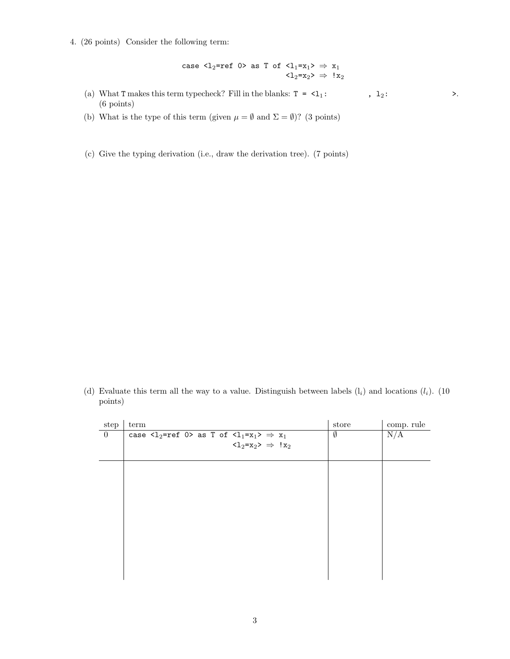4. (26 points) Consider the following term:

$$
\begin{array}{rcl} \text{case} \text{ } \text{${\zeta}$}_{2}\text{=ref 0${\succ}$ as T of $\text{${\zeta}$}_{1}\text{=}x_{1}{\succ}\Rightarrow x_{1}$ \\ \text{ } & \text{${\zeta}$}_{2}\text{=}x_{2}{\succ}\Rightarrow !x_{2} \end{array}
$$

- (a) What T makes this term typecheck? Fill in the blanks:  $T = 1$ : ,  $l_2$ : >. (6 points)
- (b) What is the type of this term (given  $\mu = \emptyset$  and  $\Sigma = \emptyset$ )? (3 points)
- (c) Give the typing derivation (i.e., draw the derivation tree). (7 points)

(d) Evaluate this term all the way to a value. Distinguish between labels  $(l_i)$  and locations  $(l_i)$ . (10) points)

| step           | term                                                                                                                   | store | comp. rule |
|----------------|------------------------------------------------------------------------------------------------------------------------|-------|------------|
| $\overline{0}$ | case $\langle 1_2$ =ref 0> as T of $\langle 1_1=x_1\rangle \Rightarrow x_1$                                            | Ø     | N/A        |
|                | $\mathopen{\texttt{<}} 1_2 \mathopen{\texttt{=}} x_2 \mathclose{\texttt{>}} \ \Rightarrow \ \mathopen{\texttt{!}} x_2$ |       |            |
|                |                                                                                                                        |       |            |
|                |                                                                                                                        |       |            |
|                |                                                                                                                        |       |            |
|                |                                                                                                                        |       |            |
|                |                                                                                                                        |       |            |
|                |                                                                                                                        |       |            |
|                |                                                                                                                        |       |            |
|                |                                                                                                                        |       |            |
|                |                                                                                                                        |       |            |
|                |                                                                                                                        |       |            |
|                |                                                                                                                        |       |            |
|                |                                                                                                                        |       |            |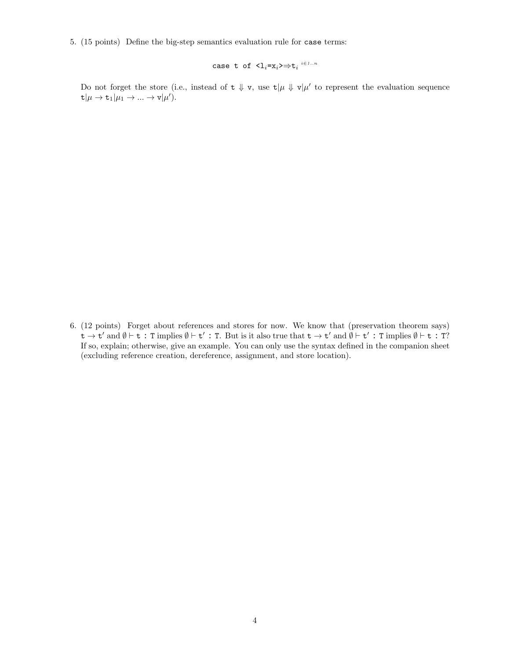5. (15 points) Define the big-step semantics evaluation rule for case terms:

case t of  $\langle 1_i=x_i\rangle \Rightarrow t_i \stackrel{i\in 1..n}{\longrightarrow}$ 

Do not forget the store (i.e., instead of  $t \psi v$ , use  $t | \mu \psi v | \mu'$  to represent the evaluation sequence  $\mathsf{t}|\mu \to \mathsf{t}_1|\mu_1 \to ... \to \mathsf{v}|\mu').$ 

6. (12 points) Forget about references and stores for now. We know that (preservation theorem says)  $t \to t'$  and  $\emptyset \vdash t : T$  implies  $\emptyset \vdash t' : T$ . But is it also true that  $t \to t'$  and  $\emptyset \vdash t' : T$  implies  $\emptyset \vdash t : T$ ? If so, explain; otherwise, give an example. You can only use the syntax defined in the companion sheet (excluding reference creation, dereference, assignment, and store location).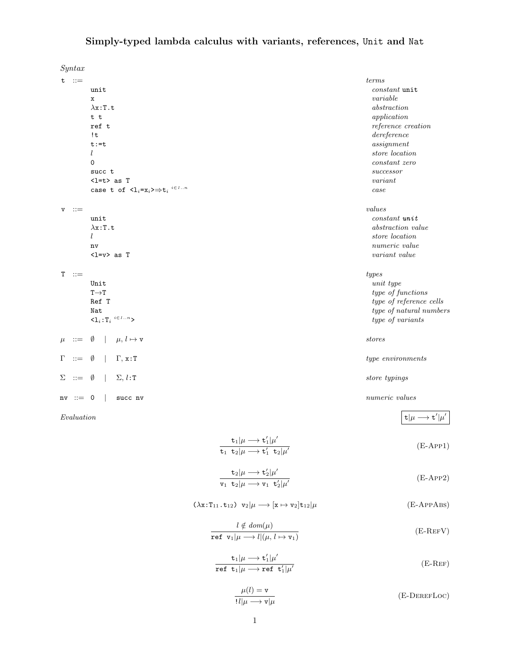## Simply-typed lambda calculus with variants, references, Unit and Nat

|             | Syntax                |                                                                                                                                                 |                                    |
|-------------|-----------------------|-------------------------------------------------------------------------------------------------------------------------------------------------|------------------------------------|
|             | $t$ ::=               |                                                                                                                                                 | terms                              |
|             |                       | unit                                                                                                                                            | $constant$ unit                    |
|             |                       | x                                                                                                                                               | variable                           |
|             |                       | $\lambda$ x:T.t                                                                                                                                 | abstraction                        |
|             |                       | t t                                                                                                                                             | application                        |
|             |                       | ref t                                                                                                                                           | reference creation                 |
|             |                       | !t                                                                                                                                              | dereference                        |
|             |                       | $t := t$                                                                                                                                        | assignment                         |
|             |                       | $l_{\rm }$                                                                                                                                      | store location                     |
|             |                       | 0                                                                                                                                               | constant zero                      |
|             |                       | succ t                                                                                                                                          | successor                          |
|             |                       | $\langle$ 1=t> as T                                                                                                                             | variant                            |
|             |                       | case t of $\mathsf{<} l_i = x_i \mathsf{>}\Rightarrow t_i \stackrel{i \in 1n}{\longrightarrow}$                                                 | case                               |
| $\mathbf v$ | $\therefore =$        |                                                                                                                                                 | values                             |
|             |                       | unit                                                                                                                                            | $constant$ $unit$                  |
|             |                       | $\lambda$ x:T.t                                                                                                                                 | abstraction value                  |
|             |                       | $l_{\rm }$                                                                                                                                      | store location                     |
|             |                       | nv                                                                                                                                              | numeric value                      |
|             |                       | $\langle$ 1= $v$ > as T                                                                                                                         | variant value                      |
|             | $T$ ::=               |                                                                                                                                                 | types                              |
|             |                       | Unit                                                                                                                                            | unit type                          |
|             |                       | $T\rightarrow T$                                                                                                                                | type of functions                  |
|             |                       | Ref T                                                                                                                                           | type of reference cells            |
|             |                       | Nat                                                                                                                                             | type of natural numbers            |
|             |                       | $<\hspace{-3pt}1_i\hspace{-3pt}:\hspace{-3pt}T_i\hspace{3pt} \hspace{3pt} \hspace{3pt}^{i\hspace{-3pt}\in\hspace{-3pt}1\hspace{-3pt} \ldots n>$ | type of variants                   |
| $\mu$       | $\mathrel{\mathop:}=$ | Ø<br>$\mu, l \mapsto \mathbf{v}$                                                                                                                | stores                             |
| Г           | $::=$                 | $\Gamma$ , x:T<br>Ø                                                                                                                             | $type\hspace{0.1cm} environment s$ |
| Σ           | $\mathrel{\mathop:}=$ | $\Sigma, l:$ T<br>Ø                                                                                                                             | store typings                      |
|             | $nv ::= 0$            | succ nv                                                                                                                                         | numeric values                     |

 $\textit{Evaluation}$  t| $\mu \rightarrow \texttt{t}$ 

$$
\frac{\mathbf{t}_1|\mu \longrightarrow \mathbf{t}'_1|\mu'}{\mathbf{t}_1 \ \mathbf{t}_2|\mu \longrightarrow \mathbf{t}'_1 \ \mathbf{t}_2|\mu'}
$$
 (E-APP1)

 $^{\prime}$ | $\mu^{\prime}$ 

$$
\frac{\mathbf{t}_2|\mu \longrightarrow \mathbf{t}_2'|\mu'}{\mathbf{v}_1 \quad \mathbf{t}_2|\mu \longrightarrow \mathbf{v}_1 \quad \mathbf{t}_2'|\mu'}
$$
 (E-APP2)

## $(\lambda \mathbf{x}:T_{11}.\mathbf{t}_{12}) \ \mathbf{v}_2|\mu \longrightarrow [\mathbf{x} \mapsto \mathbf{v}_2] \mathbf{t}_{12}|\mu$  (E-APPABS)

$$
\frac{l \notin dom(\mu)}{\text{ref } \mathbf{v}_1 | \mu \longrightarrow l | (\mu, l \mapsto \mathbf{v}_1)} \tag{E-REFV}
$$

$$
\frac{\mathbf{t}_1|\mu \longrightarrow \mathbf{t}'_1|\mu'}{\text{ref } \mathbf{t}_1|\mu \longrightarrow \text{ref } \mathbf{t}'_1|\mu'}
$$
 (E-REF)

$$
\frac{\mu(l) = \mathbf{v}}{!l|\mu \longrightarrow \mathbf{v}|\mu}
$$
 (E-DEREFLOC)